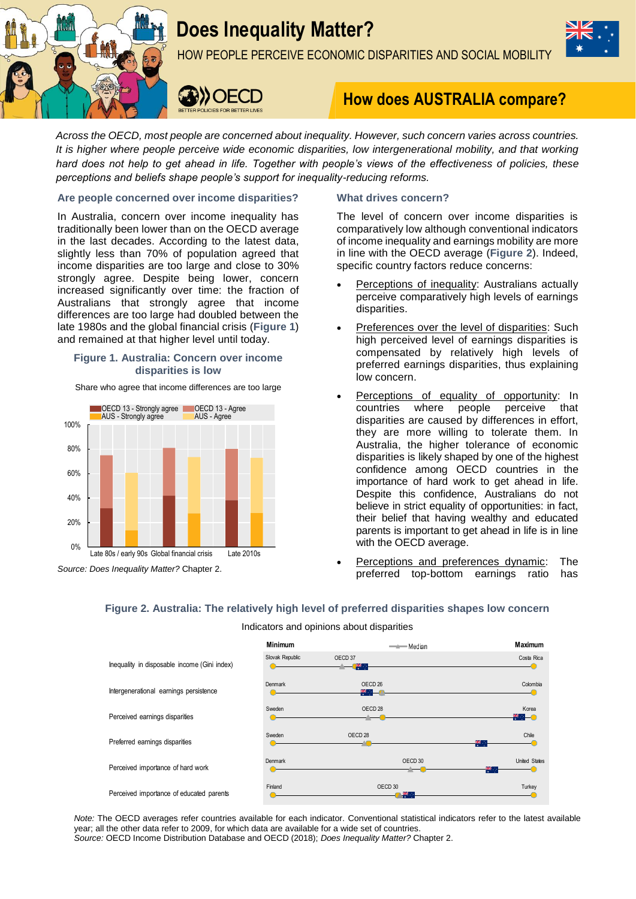

# **Does Inequality Matter?**

HOW PEOPLE PERCEIVE ECONOMIC DISPARITIES AND SOCIAL MOBILITY



**DOEC** 

## **How does AUSTRALIA compare?**

*Across the OECD, most people are concerned about inequality. However, such concern varies across countries. It is higher where people perceive wide economic disparities, low intergenerational mobility, and that working hard does not help to get ahead in life. Together with people's views of the effectiveness of policies, these perceptions and beliefs shape people's support for inequality-reducing reforms.*

#### **Are people concerned over income disparities?**

In Australia, concern over income inequality has traditionally been lower than on the OECD average in the last decades. According to the latest data, slightly less than 70% of population agreed that income disparities are too large and close to 30% strongly agree. Despite being lower, concern increased significantly over time: the fraction of Australians that strongly agree that income differences are too large had doubled between the late 1980s and the global financial crisis (**Figure 1**) and remained at that higher level until today.

#### **Figure 1. Australia: Concern over income disparities is low**

Share who agree that income differences are too large



#### **What drives concern?**

The level of concern over income disparities is comparatively low although conventional indicators of income inequality and earnings mobility are more in line with the OECD average (**Figure 2**). Indeed, specific country factors reduce concerns:

- Perceptions of inequality: Australians actually perceive comparatively high levels of earnings disparities.
- Preferences over the level of disparities: Such high perceived level of earnings disparities is compensated by relatively high levels of preferred earnings disparities, thus explaining low concern.
- Perceptions of equality of opportunity: In countries where people perceive that disparities are caused by differences in effort, they are more willing to tolerate them. In Australia, the higher tolerance of economic disparities is likely shaped by one of the highest confidence among OECD countries in the importance of hard work to get ahead in life. Despite this confidence, Australians do not believe in strict equality of opportunities: in fact, their belief that having wealthy and educated parents is important to get ahead in life is in line with the OECD average.
- Perceptions and preferences dynamic: The preferred top-bottom earnings ratio has

### **Figure 2. Australia: The relatively high level of preferred disparities shapes low concern**

#### Indicators and opinions about disparities



*Note:* The OECD averages refer countries available for each indicator. Conventional statistical indicators refer to the latest available year; all the other data refer to 2009, for which data are available for a wide set of countries. *Source:* OECD Income Distribution Database and OECD (2018); *Does Inequality Matter?* Chapter 2.